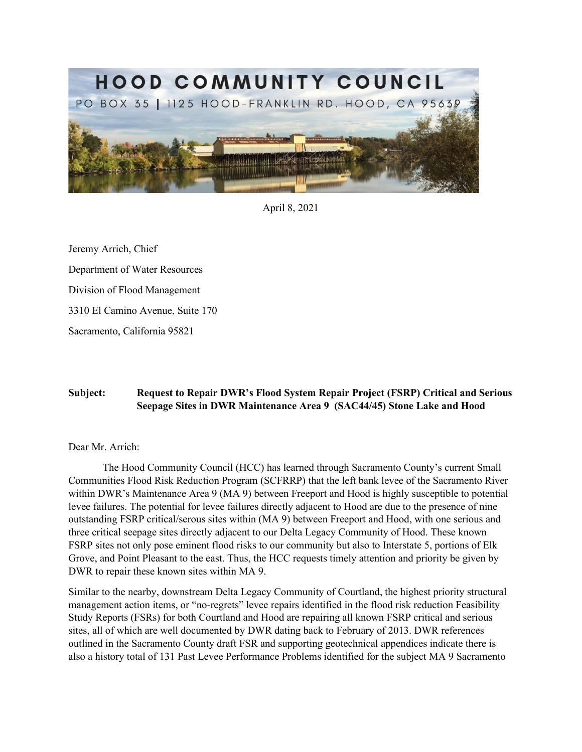

April 8, 2021

 Sacramento, California 95821 Jeremy Arrich, Chief Department of Water Resources Division of Flood Management 3310 El Camino Avenue, Suite 170

## **Seepage Sites in DWR Maintenance Area 9 (SAC44/45) Stone Lake and Hood Subject: Request to Repair DWR's Flood System Repair Project (FSRP) Critical and Serious**

## Dear Mr. Arrich:

 Communities Flood Risk Reduction Program (SCFRRP) that the left bank levee of the Sacramento River three critical seepage sites directly adjacent to our Delta Legacy Community of Hood. These known The Hood Community Council (HCC) has learned through Sacramento County's current Small within DWR's Maintenance Area 9 (MA 9) between Freeport and Hood is highly susceptible to potential levee failures. The potential for levee failures directly adjacent to Hood are due to the presence of nine outstanding FSRP critical/serous sites within (MA 9) between Freeport and Hood, with one serious and FSRP sites not only pose eminent flood risks to our community but also to Interstate 5, portions of Elk Grove, and Point Pleasant to the east. Thus, the HCC requests timely attention and priority be given by DWR to repair these known sites within MA 9.

 Study Reports (FSRs) for both Courtland and Hood are repairing all known FSRP critical and serious Similar to the nearby, downstream Delta Legacy Community of Courtland, the highest priority structural management action items, or "no-regrets" levee repairs identified in the flood risk reduction Feasibility sites, all of which are well documented by DWR dating back to February of 2013. DWR references outlined in the Sacramento County draft FSR and supporting geotechnical appendices indicate there is also a history total of 131 Past Levee Performance Problems identified for the subject MA 9 Sacramento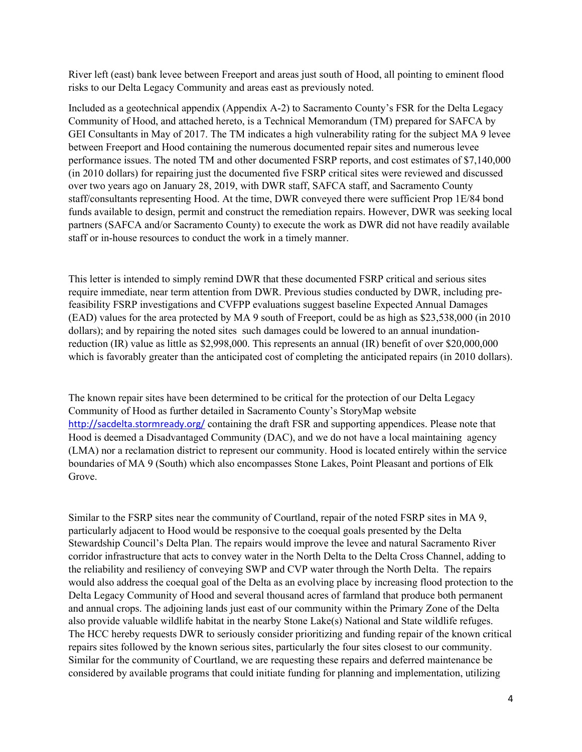River left (east) bank levee between Freeport and areas just south of Hood, all pointing to eminent flood risks to our Delta Legacy Community and areas east as previously noted.

 GEI Consultants in May of 2017. The TM indicates a high vulnerability rating for the subject MA 9 levee between Freeport and Hood containing the numerous documented repair sites and numerous levee performance issues. The noted TM and other documented FSRP reports, and cost estimates of \$7,140,000 over two years ago on January 28, 2019, with DWR staff, SAFCA staff, and Sacramento County staff/consultants representing Hood. At the time, DWR conveyed there were sufficient Prop 1E/84 bond funds available to design, permit and construct the remediation repairs. However, DWR was seeking local Included as a geotechnical appendix (Appendix A-2) to Sacramento County's FSR for the Delta Legacy Community of Hood, and attached hereto, is a Technical Memorandum (TM) prepared for SAFCA by (in 2010 dollars) for repairing just the documented five FSRP critical sites were reviewed and discussed partners (SAFCA and/or Sacramento County) to execute the work as DWR did not have readily available staff or in-house resources to conduct the work in a timely manner.

This letter is intended to simply remind DWR that these documented FSRP critical and serious sites require immediate, near term attention from DWR. Previous studies conducted by DWR, including pre feasibility FSRP investigations and CVFPP evaluations suggest baseline Expected Annual Damages (EAD) values for the area protected by MA 9 south of Freeport, could be as high as \$23,538,000 (in 2010 dollars); and by repairing the noted sites such damages could be lowered to an annual inundationreduction (IR) value as little as \$2,998,000. This represents an annual (IR) benefit of over \$20,000,000 which is favorably greater than the anticipated cost of completing the anticipated repairs (in 2010 dollars).

 The known repair sites have been determined to be critical for the protection of our Delta Legacy Community of Hood as further detailed in Sacramento County's StoryMap website <http://sacdelta.stormready.org>/ containing the draft FSR and supporting appendices. Please note that Hood is deemed a Disadvantaged Community (DAC), and we do not have a local maintaining agency (LMA) nor a reclamation district to represent our community. Hood is located entirely within the service boundaries of MA 9 (South) which also encompasses Stone Lakes, Point Pleasant and portions of Elk Grove.

 Similar to the FSRP sites near the community of Courtland, repair of the noted FSRP sites in MA 9, Stewardship Council's Delta Plan. The repairs would improve the levee and natural Sacramento River the reliability and resiliency of conveying SWP and CVP water through the North Delta. The repairs would also address the coequal goal of the Delta as an evolving place by increasing flood protection to the and annual crops. The adjoining lands just east of our community within the Primary Zone of the Delta also provide valuable wildlife habitat in the nearby Stone Lake(s) National and State wildlife refuges. particularly adjacent to Hood would be responsive to the coequal goals presented by the Delta corridor infrastructure that acts to convey water in the North Delta to the Delta Cross Channel, adding to Delta Legacy Community of Hood and several thousand acres of farmland that produce both permanent The HCC hereby requests DWR to seriously consider prioritizing and funding repair of the known critical repairs sites followed by the known serious sites, particularly the four sites closest to our community. Similar for the community of Courtland, we are requesting these repairs and deferred maintenance be considered by available programs that could initiate funding for planning and implementation, utilizing